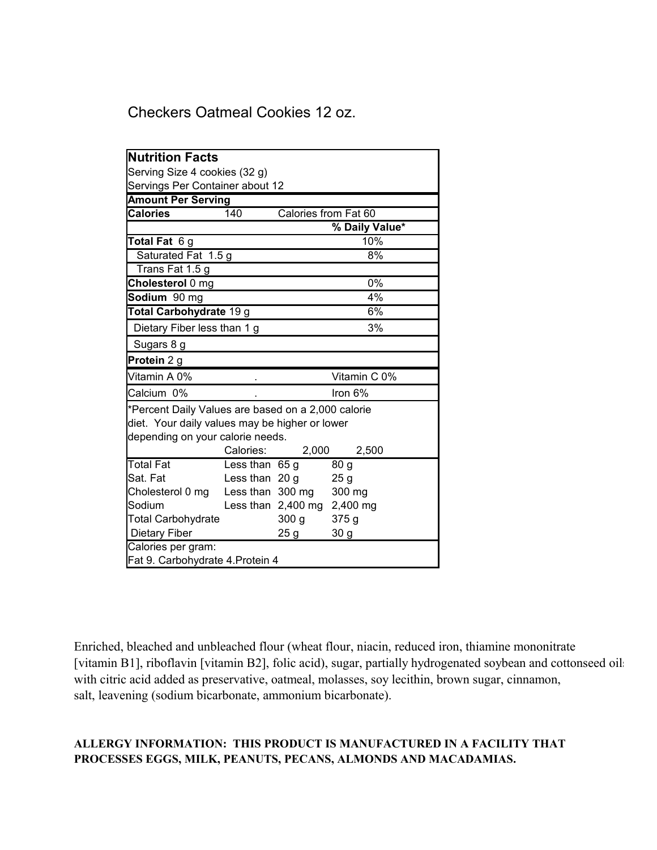Checkers Oatmeal Cookies 12 oz.

| <b>Nutrition Facts</b>                             |                  |                             |                 |
|----------------------------------------------------|------------------|-----------------------------|-----------------|
| Serving Size 4 cookies (32 g)                      |                  |                             |                 |
| Servings Per Container about 12                    |                  |                             |                 |
| <b>Amount Per Serving</b>                          |                  |                             |                 |
| <b>Calories</b>                                    | 140              | Calories from Fat 60        |                 |
|                                                    |                  |                             | % Daily Value*  |
| Total Fat 6 g                                      |                  |                             | 10%             |
| Saturated Fat 1.5 g                                |                  | 8%                          |                 |
| Trans Fat 1.5 g                                    |                  |                             |                 |
| Cholesterol 0 mg                                   |                  |                             | 0%              |
| Sodium 90 mg                                       |                  | 4%                          |                 |
| Total Carbohydrate 19 g                            |                  | 6%                          |                 |
| Dietary Fiber less than 1 g                        |                  | 3%                          |                 |
| Sugars 8 g                                         |                  |                             |                 |
| Protein 2 g                                        |                  |                             |                 |
| Vitamin A 0%                                       |                  |                             | Vitamin C 0%    |
| Calcium 0%                                         |                  | Iron 6%                     |                 |
| *Percent Daily Values are based on a 2,000 calorie |                  |                             |                 |
| diet. Your daily values may be higher or lower     |                  |                             |                 |
| depending on your calorie needs.                   |                  |                             |                 |
|                                                    | Calories:        | 2,000                       | 2,500           |
| <b>Total Fat</b>                                   | Less than 65 g   |                             | 80 g            |
| Sat. Fat                                           | Less than $20 g$ |                             | 25g             |
| Cholesterol 0 mg Less than 300 mg                  |                  |                             | 300 mg          |
| Sodium                                             |                  | Less than 2,400 mg 2,400 mg |                 |
| <b>Total Carbohydrate</b>                          |                  | 300 <sub>g</sub>            | 375 g           |
| Dietary Fiber                                      |                  | 25 g                        | 30 <sub>g</sub> |
| Calories per gram:                                 |                  |                             |                 |
| Fat 9. Carbohydrate 4. Protein 4                   |                  |                             |                 |

with citric acid added as preservative, oatmeal, molasses, soy lecithin, brown sugar, cinnamon, salt, leavening (sodium bicarbonate, ammonium bicarbonate). Enriched, bleached and unbleached flour (wheat flour, niacin, reduced iron, thiamine mononitrate [vitamin B1], riboflavin [vitamin B2], folic acid), sugar, partially hydrogenated soybean and cottonseed oils

## **ALLERGY INFORMATION: THIS PRODUCT IS MANUFACTURED IN A FACILITY THAT PROCESSES EGGS, MILK, PEANUTS, PECANS, ALMONDS AND MACADAMIAS.**